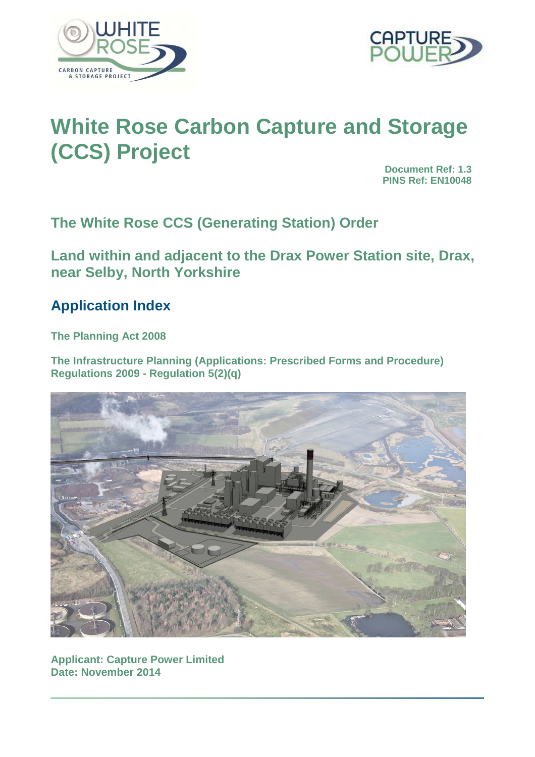



# **White Rose Carbon Capture and Storage (CCS) Project**

**Document Ref: 1.3 PINS Ref: EN10048**

**The White Rose CCS (Generating Station) Order** 

**Land within and adjacent to the Drax Power Station site, Drax, near Selby, North Yorkshire** 

# **Application Index**

**The Planning Act 2008** 

**The Infrastructure Planning (Applications: Prescribed Forms and Procedure) Regulations 2009 - Regulation 5(2)(q)** 



**Applicant: Capture Power Limited Date: November 2014**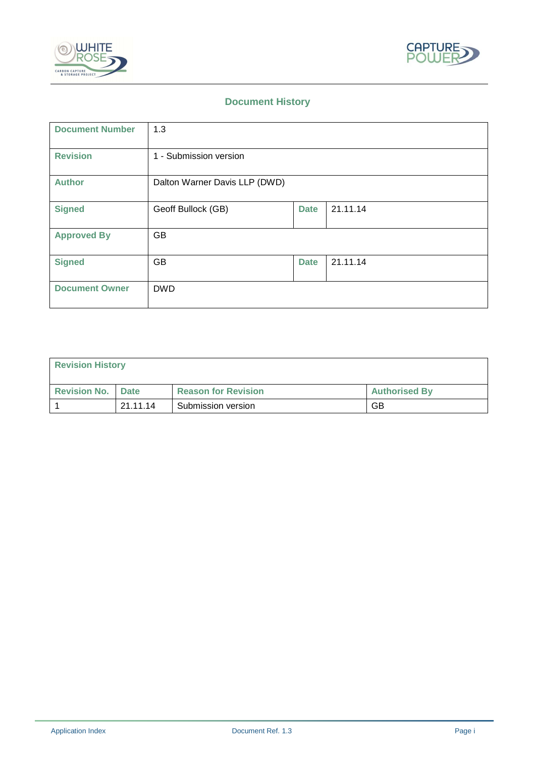



## **Document History**

| <b>Document Number</b> | 1.3                           |             |          |
|------------------------|-------------------------------|-------------|----------|
| <b>Revision</b>        | 1 - Submission version        |             |          |
| <b>Author</b>          | Dalton Warner Davis LLP (DWD) |             |          |
| <b>Signed</b>          | Geoff Bullock (GB)            | <b>Date</b> | 21.11.14 |
| <b>Approved By</b>     | GB                            |             |          |
| <b>Signed</b>          | GB                            | <b>Date</b> | 21.11.14 |
| <b>Document Owner</b>  | <b>DWD</b>                    |             |          |

| <b>Revision History</b>    |          |                            |                      |
|----------------------------|----------|----------------------------|----------------------|
| <b>Revision No.   Date</b> |          | <b>Reason for Revision</b> | <b>Authorised By</b> |
|                            | 21.11.14 | Submission version         | GB                   |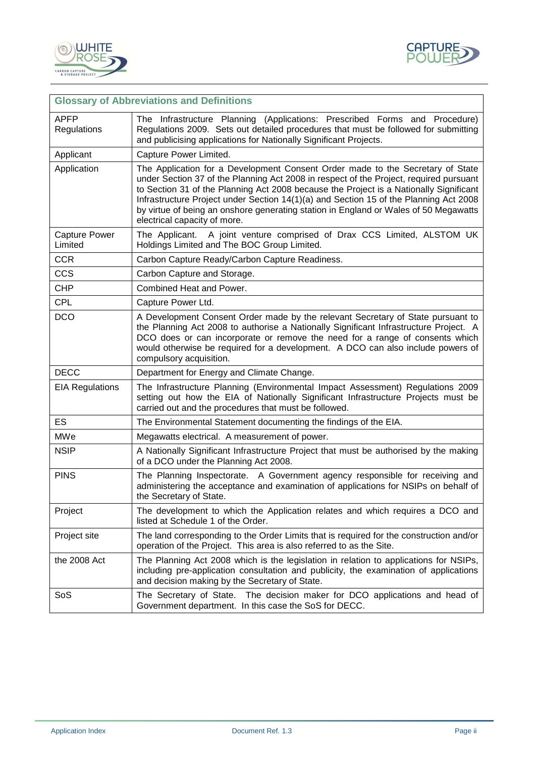



|                                 | <b>Glossary of Abbreviations and Definitions</b>                                                                                                                                                                                                                                                                                                                                                                                                                                    |  |
|---------------------------------|-------------------------------------------------------------------------------------------------------------------------------------------------------------------------------------------------------------------------------------------------------------------------------------------------------------------------------------------------------------------------------------------------------------------------------------------------------------------------------------|--|
| <b>APFP</b><br>Regulations      | The Infrastructure Planning (Applications: Prescribed Forms and Procedure)<br>Regulations 2009. Sets out detailed procedures that must be followed for submitting<br>and publicising applications for Nationally Significant Projects.                                                                                                                                                                                                                                              |  |
| Applicant                       | Capture Power Limited.                                                                                                                                                                                                                                                                                                                                                                                                                                                              |  |
| Application                     | The Application for a Development Consent Order made to the Secretary of State<br>under Section 37 of the Planning Act 2008 in respect of the Project, required pursuant<br>to Section 31 of the Planning Act 2008 because the Project is a Nationally Significant<br>Infrastructure Project under Section 14(1)(a) and Section 15 of the Planning Act 2008<br>by virtue of being an onshore generating station in England or Wales of 50 Megawatts<br>electrical capacity of more. |  |
| <b>Capture Power</b><br>Limited | The Applicant. A joint venture comprised of Drax CCS Limited, ALSTOM UK<br>Holdings Limited and The BOC Group Limited.                                                                                                                                                                                                                                                                                                                                                              |  |
| <b>CCR</b>                      | Carbon Capture Ready/Carbon Capture Readiness.                                                                                                                                                                                                                                                                                                                                                                                                                                      |  |
| <b>CCS</b>                      | Carbon Capture and Storage.                                                                                                                                                                                                                                                                                                                                                                                                                                                         |  |
| <b>CHP</b>                      | Combined Heat and Power.                                                                                                                                                                                                                                                                                                                                                                                                                                                            |  |
| <b>CPL</b>                      | Capture Power Ltd.                                                                                                                                                                                                                                                                                                                                                                                                                                                                  |  |
| <b>DCO</b>                      | A Development Consent Order made by the relevant Secretary of State pursuant to<br>the Planning Act 2008 to authorise a Nationally Significant Infrastructure Project. A<br>DCO does or can incorporate or remove the need for a range of consents which<br>would otherwise be required for a development. A DCO can also include powers of<br>compulsory acquisition.                                                                                                              |  |
| <b>DECC</b>                     | Department for Energy and Climate Change.                                                                                                                                                                                                                                                                                                                                                                                                                                           |  |
| <b>EIA Regulations</b>          | The Infrastructure Planning (Environmental Impact Assessment) Regulations 2009<br>setting out how the EIA of Nationally Significant Infrastructure Projects must be<br>carried out and the procedures that must be followed.                                                                                                                                                                                                                                                        |  |
| ES                              | The Environmental Statement documenting the findings of the EIA.                                                                                                                                                                                                                                                                                                                                                                                                                    |  |
| MWe                             | Megawatts electrical. A measurement of power.                                                                                                                                                                                                                                                                                                                                                                                                                                       |  |
| <b>NSIP</b>                     | A Nationally Significant Infrastructure Project that must be authorised by the making<br>of a DCO under the Planning Act 2008.                                                                                                                                                                                                                                                                                                                                                      |  |
| <b>PINS</b>                     | The Planning Inspectorate. A Government agency responsible for receiving and<br>administering the acceptance and examination of applications for NSIPs on behalf of<br>the Secretary of State.                                                                                                                                                                                                                                                                                      |  |
| Project                         | The development to which the Application relates and which requires a DCO and<br>listed at Schedule 1 of the Order.                                                                                                                                                                                                                                                                                                                                                                 |  |
| Project site                    | The land corresponding to the Order Limits that is required for the construction and/or<br>operation of the Project. This area is also referred to as the Site.                                                                                                                                                                                                                                                                                                                     |  |
| the 2008 Act                    | The Planning Act 2008 which is the legislation in relation to applications for NSIPs,<br>including pre-application consultation and publicity, the examination of applications<br>and decision making by the Secretary of State.                                                                                                                                                                                                                                                    |  |
| SoS                             | The Secretary of State. The decision maker for DCO applications and head of<br>Government department. In this case the SoS for DECC.                                                                                                                                                                                                                                                                                                                                                |  |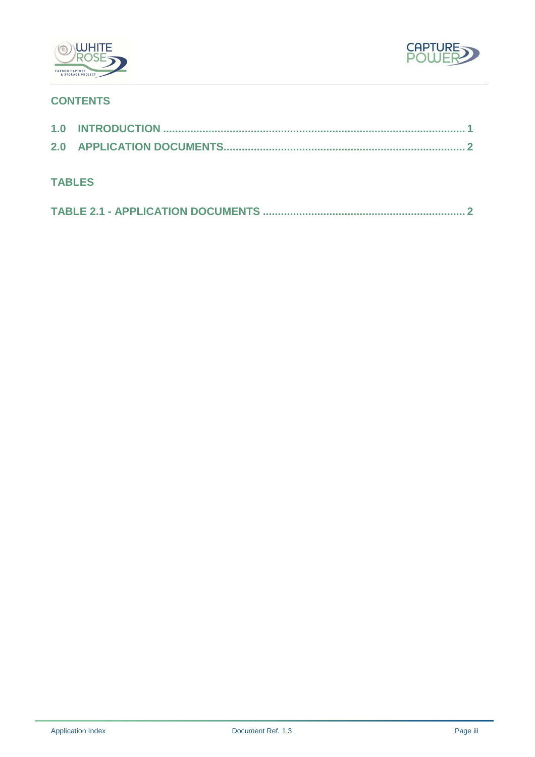



# **CONTENTS**

| <b>TABLES</b> |  |
|---------------|--|
|               |  |
|               |  |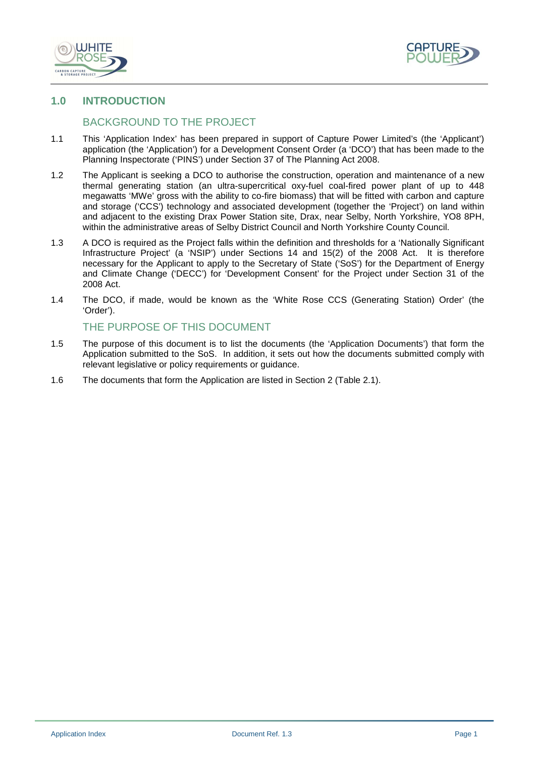



#### **1.0 INTRODUCTION**

### BACKGROUND TO THE PROJECT

- 1.1 This 'Application Index' has been prepared in support of Capture Power Limited's (the 'Applicant') application (the 'Application') for a Development Consent Order (a 'DCO') that has been made to the Planning Inspectorate ('PINS') under Section 37 of The Planning Act 2008.
- 1.2 The Applicant is seeking a DCO to authorise the construction, operation and maintenance of a new thermal generating station (an ultra-supercritical oxy-fuel coal-fired power plant of up to 448 megawatts 'MWe' gross with the ability to co-fire biomass) that will be fitted with carbon and capture and storage ('CCS') technology and associated development (together the 'Project') on land within and adjacent to the existing Drax Power Station site, Drax, near Selby, North Yorkshire, YO8 8PH, within the administrative areas of Selby District Council and North Yorkshire County Council.
- 1.3 A DCO is required as the Project falls within the definition and thresholds for a 'Nationally Significant Infrastructure Project' (a 'NSIP') under Sections 14 and 15(2) of the 2008 Act. It is therefore necessary for the Applicant to apply to the Secretary of State ('SoS') for the Department of Energy and Climate Change ('DECC') for 'Development Consent' for the Project under Section 31 of the 2008 Act.
- 1.4 The DCO, if made, would be known as the 'White Rose CCS (Generating Station) Order' (the 'Order').

#### THE PURPOSE OF THIS DOCUMENT

- 1.5 The purpose of this document is to list the documents (the 'Application Documents') that form the Application submitted to the SoS. In addition, it sets out how the documents submitted comply with relevant legislative or policy requirements or guidance.
- 1.6 The documents that form the Application are listed in Section 2 (Table 2.1).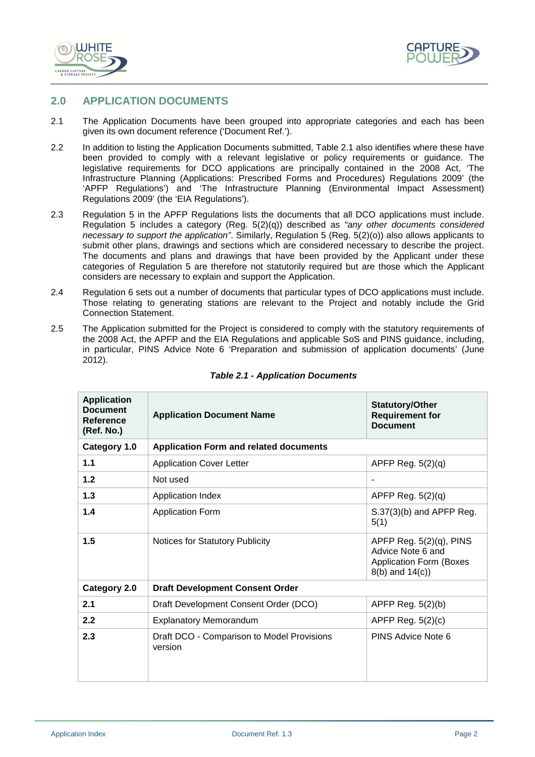



#### **2.0 APPLICATION DOCUMENTS**

- 2.1 The Application Documents have been grouped into appropriate categories and each has been given its own document reference ('Document Ref.').
- 2.2 In addition to listing the Application Documents submitted, Table 2.1 also identifies where these have been provided to comply with a relevant legislative or policy requirements or guidance. The legislative requirements for DCO applications are principally contained in the 2008 Act, 'The Infrastructure Planning (Applications: Prescribed Forms and Procedures) Regulations 2009' (the 'APFP Regulations') and 'The Infrastructure Planning (Environmental Impact Assessment) Regulations 2009' (the 'EIA Regulations').
- 2.3 Regulation 5 in the APFP Regulations lists the documents that all DCO applications must include. Regulation 5 includes a category (Reg.  $5(2)(q)$ ) described as "any other documents considered necessary to support the application". Similarly, Regulation 5 (Reg. 5(2)(o)) also allows applicants to submit other plans, drawings and sections which are considered necessary to describe the project. The documents and plans and drawings that have been provided by the Applicant under these categories of Regulation 5 are therefore not statutorily required but are those which the Applicant considers are necessary to explain and support the Application.
- 2.4 Regulation 6 sets out a number of documents that particular types of DCO applications must include. Those relating to generating stations are relevant to the Project and notably include the Grid Connection Statement.
- 2.5 The Application submitted for the Project is considered to comply with the statutory requirements of the 2008 Act, the APFP and the EIA Regulations and applicable SoS and PINS guidance, including, in particular, PINS Advice Note 6 'Preparation and submission of application documents' (June 2012).

| <b>Application</b><br><b>Document</b><br>Reference<br>(Ref. No.) | <b>Application Document Name</b>                      | <b>Statutory/Other</b><br><b>Requirement for</b><br><b>Document</b>                                        |  |
|------------------------------------------------------------------|-------------------------------------------------------|------------------------------------------------------------------------------------------------------------|--|
| Category 1.0                                                     | <b>Application Form and related documents</b>         |                                                                                                            |  |
| 1.1                                                              | <b>Application Cover Letter</b>                       | APFP Reg. 5(2)(q)                                                                                          |  |
| $1.2$                                                            | Not used                                              | $\blacksquare$                                                                                             |  |
| 1.3                                                              | Application Index                                     | APFP Reg. 5(2)(q)                                                                                          |  |
| 1.4                                                              | <b>Application Form</b>                               | $S.37(3)(b)$ and APFP Reg.<br>5(1)                                                                         |  |
| 1.5                                                              | Notices for Statutory Publicity                       | APFP Reg. $5(2)(q)$ , PINS<br>Advice Note 6 and<br><b>Application Form (Boxes)</b><br>$8(b)$ and $14(c)$ ) |  |
| Category 2.0                                                     | <b>Draft Development Consent Order</b>                |                                                                                                            |  |
| 2.1                                                              | Draft Development Consent Order (DCO)                 | APFP Reg. 5(2)(b)                                                                                          |  |
| 2.2                                                              | <b>Explanatory Memorandum</b>                         | APFP Reg. $5(2)(c)$                                                                                        |  |
| 2.3                                                              | Draft DCO - Comparison to Model Provisions<br>version | PINS Advice Note 6                                                                                         |  |

#### **Table 2.1 - Application Documents**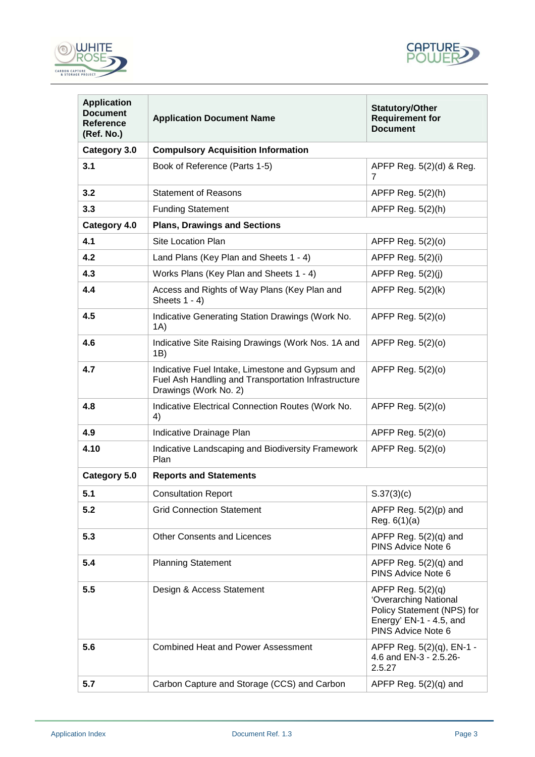



| <b>Application</b><br><b>Document</b><br><b>Reference</b><br>(Ref. No.) | <b>Application Document Name</b>                                                                                                 | <b>Statutory/Other</b><br><b>Requirement for</b><br><b>Document</b>                                                         |
|-------------------------------------------------------------------------|----------------------------------------------------------------------------------------------------------------------------------|-----------------------------------------------------------------------------------------------------------------------------|
| Category 3.0                                                            | <b>Compulsory Acquisition Information</b>                                                                                        |                                                                                                                             |
| 3.1                                                                     | Book of Reference (Parts 1-5)                                                                                                    | APFP Reg. 5(2)(d) & Reg.<br>7                                                                                               |
| 3.2                                                                     | <b>Statement of Reasons</b>                                                                                                      | APFP Reg. 5(2)(h)                                                                                                           |
| 3.3                                                                     | <b>Funding Statement</b>                                                                                                         | APFP Reg. 5(2)(h)                                                                                                           |
| Category 4.0                                                            | <b>Plans, Drawings and Sections</b>                                                                                              |                                                                                                                             |
| 4.1                                                                     | Site Location Plan                                                                                                               | APFP Reg. 5(2)(0)                                                                                                           |
| 4.2                                                                     | Land Plans (Key Plan and Sheets 1 - 4)                                                                                           | APFP Reg. 5(2)(i)                                                                                                           |
| 4.3                                                                     | Works Plans (Key Plan and Sheets 1 - 4)                                                                                          | APFP Reg. $5(2)(j)$                                                                                                         |
| 4.4                                                                     | Access and Rights of Way Plans (Key Plan and<br>Sheets $1 - 4$ )                                                                 | APFP Reg. 5(2)(k)                                                                                                           |
| 4.5                                                                     | Indicative Generating Station Drawings (Work No.<br>1A)                                                                          | APFP Reg. $5(2)(0)$                                                                                                         |
| 4.6                                                                     | Indicative Site Raising Drawings (Work Nos. 1A and<br>1B)                                                                        | APFP Reg. $5(2)(0)$                                                                                                         |
| 4.7                                                                     | Indicative Fuel Intake, Limestone and Gypsum and<br>Fuel Ash Handling and Transportation Infrastructure<br>Drawings (Work No. 2) | APFP Reg. 5(2)(0)                                                                                                           |
| 4.8                                                                     | Indicative Electrical Connection Routes (Work No.<br>4)                                                                          | APFP Reg. 5(2)(0)                                                                                                           |
| 4.9                                                                     | Indicative Drainage Plan                                                                                                         | APFP Reg. 5(2)(0)                                                                                                           |
| 4.10                                                                    | Indicative Landscaping and Biodiversity Framework<br>Plan                                                                        | APFP Reg. 5(2)(0)                                                                                                           |
| Category 5.0                                                            | <b>Reports and Statements</b>                                                                                                    |                                                                                                                             |
| 5.1                                                                     | <b>Consultation Report</b>                                                                                                       | S.37(3)(c)                                                                                                                  |
| 5.2                                                                     | <b>Grid Connection Statement</b>                                                                                                 | APFP Reg. $5(2)(p)$ and<br>Reg. $6(1)(a)$                                                                                   |
| 5.3                                                                     | <b>Other Consents and Licences</b>                                                                                               | APFP Reg. $5(2)(q)$ and<br>PINS Advice Note 6                                                                               |
| 5.4                                                                     | <b>Planning Statement</b>                                                                                                        | APFP Reg. $5(2)(q)$ and<br>PINS Advice Note 6                                                                               |
| 5.5                                                                     | Design & Access Statement                                                                                                        | APFP Reg. $5(2)(q)$<br>'Overarching National<br>Policy Statement (NPS) for<br>Energy' EN-1 - 4.5, and<br>PINS Advice Note 6 |
| 5.6                                                                     | <b>Combined Heat and Power Assessment</b>                                                                                        | APFP Reg. 5(2)(q), EN-1 -<br>4.6 and EN-3 - 2.5.26-<br>2.5.27                                                               |
| 5.7                                                                     | Carbon Capture and Storage (CCS) and Carbon                                                                                      | APFP Reg. $5(2)(q)$ and                                                                                                     |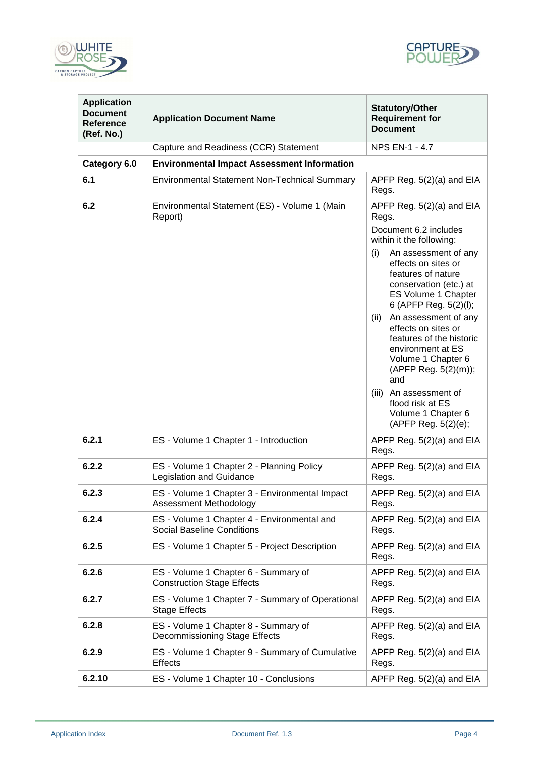



| <b>Application</b><br><b>Document</b><br><b>Reference</b><br>(Ref. No.) | <b>Application Document Name</b>                                                 | <b>Statutory/Other</b><br><b>Requirement for</b><br><b>Document</b>                                                                                                                                                                                                                                                                                                                                                                                                                                      |  |
|-------------------------------------------------------------------------|----------------------------------------------------------------------------------|----------------------------------------------------------------------------------------------------------------------------------------------------------------------------------------------------------------------------------------------------------------------------------------------------------------------------------------------------------------------------------------------------------------------------------------------------------------------------------------------------------|--|
|                                                                         | Capture and Readiness (CCR) Statement                                            | <b>NPS EN-1 - 4.7</b>                                                                                                                                                                                                                                                                                                                                                                                                                                                                                    |  |
| Category 6.0                                                            | <b>Environmental Impact Assessment Information</b>                               |                                                                                                                                                                                                                                                                                                                                                                                                                                                                                                          |  |
| 6.1                                                                     | <b>Environmental Statement Non-Technical Summary</b>                             | APFP Reg. 5(2)(a) and EIA<br>Regs.                                                                                                                                                                                                                                                                                                                                                                                                                                                                       |  |
| 6.2                                                                     | Environmental Statement (ES) - Volume 1 (Main<br>Report)                         | APFP Reg. 5(2)(a) and EIA<br>Regs.<br>Document 6.2 includes<br>within it the following:<br>(i)<br>An assessment of any<br>effects on sites or<br>features of nature<br>conservation (etc.) at<br>ES Volume 1 Chapter<br>6 (APFP Reg. 5(2)(l);<br>An assessment of any<br>(ii)<br>effects on sites or<br>features of the historic<br>environment at ES<br>Volume 1 Chapter 6<br>(APFP Reg. 5(2)(m));<br>and<br>(iii)<br>An assessment of<br>flood risk at ES<br>Volume 1 Chapter 6<br>(APFP Reg. 5(2)(e); |  |
| 6.2.1                                                                   | ES - Volume 1 Chapter 1 - Introduction                                           | APFP Reg. 5(2)(a) and EIA<br>Regs.                                                                                                                                                                                                                                                                                                                                                                                                                                                                       |  |
| 6.2.2                                                                   | ES - Volume 1 Chapter 2 - Planning Policy<br>Legislation and Guidance            | APFP Reg. 5(2)(a) and EIA<br>Regs.                                                                                                                                                                                                                                                                                                                                                                                                                                                                       |  |
| 6.2.3                                                                   | ES - Volume 1 Chapter 3 - Environmental Impact<br>Assessment Methodology         | APFP Reg. 5(2)(a) and EIA<br>Regs.                                                                                                                                                                                                                                                                                                                                                                                                                                                                       |  |
| 6.2.4                                                                   | ES - Volume 1 Chapter 4 - Environmental and<br><b>Social Baseline Conditions</b> | APFP Reg. 5(2)(a) and EIA<br>Regs.                                                                                                                                                                                                                                                                                                                                                                                                                                                                       |  |
| 6.2.5                                                                   | ES - Volume 1 Chapter 5 - Project Description                                    | APFP Reg. 5(2)(a) and EIA<br>Regs.                                                                                                                                                                                                                                                                                                                                                                                                                                                                       |  |
| 6.2.6                                                                   | ES - Volume 1 Chapter 6 - Summary of<br><b>Construction Stage Effects</b>        | APFP Reg. 5(2)(a) and EIA<br>Regs.                                                                                                                                                                                                                                                                                                                                                                                                                                                                       |  |
| 6.2.7                                                                   | ES - Volume 1 Chapter 7 - Summary of Operational<br><b>Stage Effects</b>         | APFP Reg. 5(2)(a) and EIA<br>Regs.                                                                                                                                                                                                                                                                                                                                                                                                                                                                       |  |
| 6.2.8                                                                   | ES - Volume 1 Chapter 8 - Summary of<br>Decommissioning Stage Effects            | APFP Reg. $5(2)(a)$ and EIA<br>Regs.                                                                                                                                                                                                                                                                                                                                                                                                                                                                     |  |
| 6.2.9                                                                   | ES - Volume 1 Chapter 9 - Summary of Cumulative<br><b>Effects</b>                | APFP Reg. $5(2)(a)$ and EIA<br>Regs.                                                                                                                                                                                                                                                                                                                                                                                                                                                                     |  |
| 6.2.10                                                                  | ES - Volume 1 Chapter 10 - Conclusions                                           | APFP Reg. $5(2)(a)$ and EIA                                                                                                                                                                                                                                                                                                                                                                                                                                                                              |  |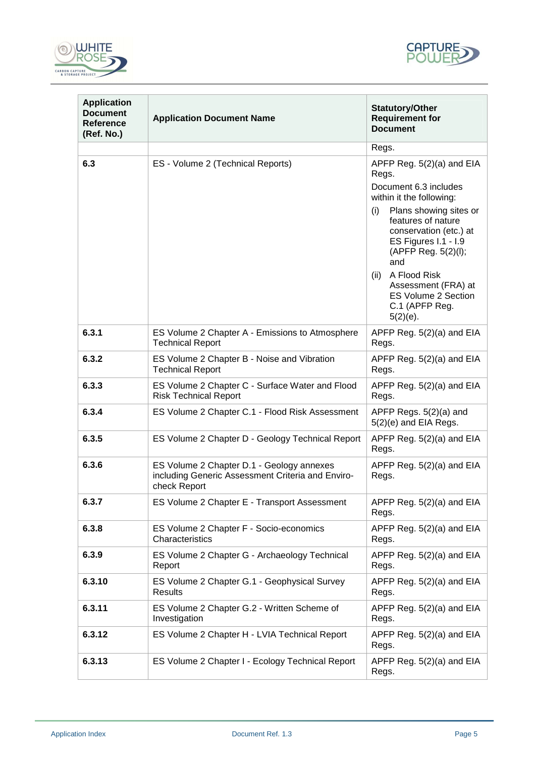



| <b>Application</b><br><b>Document</b><br><b>Reference</b><br>(Ref. No.) | <b>Application Document Name</b>                                                                               | <b>Statutory/Other</b><br><b>Requirement for</b><br><b>Document</b>                                                                                                                                                                                                                                                                       |
|-------------------------------------------------------------------------|----------------------------------------------------------------------------------------------------------------|-------------------------------------------------------------------------------------------------------------------------------------------------------------------------------------------------------------------------------------------------------------------------------------------------------------------------------------------|
|                                                                         |                                                                                                                | Regs.                                                                                                                                                                                                                                                                                                                                     |
| 6.3                                                                     | ES - Volume 2 (Technical Reports)                                                                              | APFP Reg. 5(2)(a) and EIA<br>Regs.<br>Document 6.3 includes<br>within it the following:<br>Plans showing sites or<br>(i)<br>features of nature<br>conservation (etc.) at<br>ES Figures I.1 - I.9<br>(APFP Reg. 5(2)(l);<br>and<br>(ii) A Flood Risk<br>Assessment (FRA) at<br><b>ES Volume 2 Section</b><br>C.1 (APFP Reg.<br>$5(2)(e)$ . |
| 6.3.1                                                                   | ES Volume 2 Chapter A - Emissions to Atmosphere<br><b>Technical Report</b>                                     | APFP Reg. 5(2)(a) and EIA<br>Regs.                                                                                                                                                                                                                                                                                                        |
| 6.3.2                                                                   | ES Volume 2 Chapter B - Noise and Vibration<br><b>Technical Report</b>                                         | APFP Reg. 5(2)(a) and EIA<br>Regs.                                                                                                                                                                                                                                                                                                        |
| 6.3.3                                                                   | ES Volume 2 Chapter C - Surface Water and Flood<br><b>Risk Technical Report</b>                                | APFP Reg. 5(2)(a) and EIA<br>Regs.                                                                                                                                                                                                                                                                                                        |
| 6.3.4                                                                   | ES Volume 2 Chapter C.1 - Flood Risk Assessment                                                                | APFP Regs. 5(2)(a) and<br>5(2)(e) and EIA Regs.                                                                                                                                                                                                                                                                                           |
| 6.3.5                                                                   | ES Volume 2 Chapter D - Geology Technical Report                                                               | APFP Reg. 5(2)(a) and EIA<br>Regs.                                                                                                                                                                                                                                                                                                        |
| 6.3.6                                                                   | ES Volume 2 Chapter D.1 - Geology annexes<br>including Generic Assessment Criteria and Enviro-<br>check Report | APFP Reg. 5(2)(a) and EIA<br>Regs.                                                                                                                                                                                                                                                                                                        |
| 6.3.7                                                                   | ES Volume 2 Chapter E - Transport Assessment                                                                   | APFP Reg. 5(2)(a) and EIA<br>Regs.                                                                                                                                                                                                                                                                                                        |
| 6.3.8                                                                   | ES Volume 2 Chapter F - Socio-economics<br>Characteristics                                                     | APFP Reg. 5(2)(a) and EIA<br>Regs.                                                                                                                                                                                                                                                                                                        |
| 6.3.9                                                                   | ES Volume 2 Chapter G - Archaeology Technical<br>Report                                                        | APFP Reg. 5(2)(a) and EIA<br>Regs.                                                                                                                                                                                                                                                                                                        |
| 6.3.10                                                                  | ES Volume 2 Chapter G.1 - Geophysical Survey<br>Results                                                        | APFP Reg. 5(2)(a) and EIA<br>Regs.                                                                                                                                                                                                                                                                                                        |
| 6.3.11                                                                  | ES Volume 2 Chapter G.2 - Written Scheme of<br>Investigation                                                   | APFP Reg. $5(2)(a)$ and EIA<br>Regs.                                                                                                                                                                                                                                                                                                      |
| 6.3.12                                                                  | ES Volume 2 Chapter H - LVIA Technical Report                                                                  | APFP Reg. 5(2)(a) and EIA<br>Regs.                                                                                                                                                                                                                                                                                                        |
| 6.3.13                                                                  | ES Volume 2 Chapter I - Ecology Technical Report                                                               | APFP Reg. 5(2)(a) and EIA<br>Regs.                                                                                                                                                                                                                                                                                                        |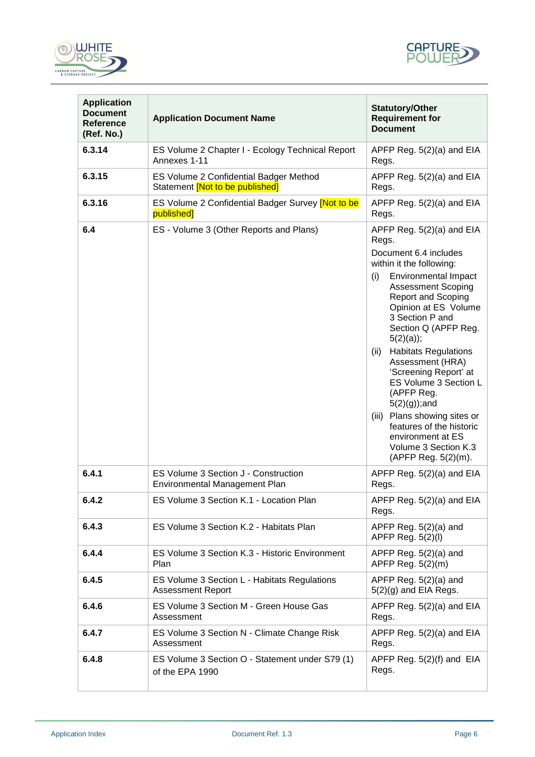



| <b>Application</b><br><b>Document</b><br>Reference<br>(Ref. No.) | <b>Application Document Name</b>                                          | <b>Statutory/Other</b><br><b>Requirement for</b><br><b>Document</b>                                                                                                                                                                                                                                                                                                                                                                                                                                                                                 |
|------------------------------------------------------------------|---------------------------------------------------------------------------|-----------------------------------------------------------------------------------------------------------------------------------------------------------------------------------------------------------------------------------------------------------------------------------------------------------------------------------------------------------------------------------------------------------------------------------------------------------------------------------------------------------------------------------------------------|
| 6.3.14                                                           | ES Volume 2 Chapter I - Ecology Technical Report<br>Annexes 1-11          | APFP Reg. 5(2)(a) and EIA<br>Regs.                                                                                                                                                                                                                                                                                                                                                                                                                                                                                                                  |
| 6.3.15                                                           | ES Volume 2 Confidential Badger Method<br>Statement [Not to be published] | APFP Reg. 5(2)(a) and EIA<br>Regs.                                                                                                                                                                                                                                                                                                                                                                                                                                                                                                                  |
| 6.3.16                                                           | ES Volume 2 Confidential Badger Survey [Not to be<br>published]           | APFP Reg. 5(2)(a) and EIA<br>Regs.                                                                                                                                                                                                                                                                                                                                                                                                                                                                                                                  |
| 6.4                                                              | ES - Volume 3 (Other Reports and Plans)                                   | APFP Reg. 5(2)(a) and EIA<br>Regs.<br>Document 6.4 includes<br>within it the following:<br><b>Environmental Impact</b><br>(i)<br><b>Assessment Scoping</b><br>Report and Scoping<br>Opinion at ES Volume<br>3 Section P and<br>Section Q (APFP Reg.<br>$5(2)(a)$ ;<br><b>Habitats Regulations</b><br>(ii)<br>Assessment (HRA)<br>'Screening Report' at<br>ES Volume 3 Section L<br>(APFP Reg.<br>$5(2)(g)$ ; and<br>Plans showing sites or<br>(iii)<br>features of the historic<br>environment at ES<br>Volume 3 Section K.3<br>(APFP Reg. 5(2)(m). |
| 6.4.1                                                            | ES Volume 3 Section J - Construction<br>Environmental Management Plan     | APFP Reg. 5(2)(a) and EIA<br>Regs.                                                                                                                                                                                                                                                                                                                                                                                                                                                                                                                  |
| 6.4.2                                                            | ES Volume 3 Section K.1 - Location Plan                                   | APFP Reg. 5(2)(a) and EIA<br>Regs.                                                                                                                                                                                                                                                                                                                                                                                                                                                                                                                  |
| 6.4.3                                                            | ES Volume 3 Section K.2 - Habitats Plan                                   | APFP Reg. $5(2)(a)$ and<br>APFP Reg. 5(2)(l)                                                                                                                                                                                                                                                                                                                                                                                                                                                                                                        |
| 6.4.4                                                            | ES Volume 3 Section K.3 - Historic Environment<br>Plan                    | APFP Reg. $5(2)(a)$ and<br>APFP Reg. 5(2)(m)                                                                                                                                                                                                                                                                                                                                                                                                                                                                                                        |
| 6.4.5                                                            | ES Volume 3 Section L - Habitats Regulations<br><b>Assessment Report</b>  | APFP Reg. $5(2)(a)$ and<br>$5(2)(g)$ and EIA Regs.                                                                                                                                                                                                                                                                                                                                                                                                                                                                                                  |
| 6.4.6                                                            | ES Volume 3 Section M - Green House Gas<br>Assessment                     | APFP Reg. 5(2)(a) and EIA<br>Regs.                                                                                                                                                                                                                                                                                                                                                                                                                                                                                                                  |
| 6.4.7                                                            | ES Volume 3 Section N - Climate Change Risk<br>Assessment                 | APFP Reg. $5(2)(a)$ and EIA<br>Regs.                                                                                                                                                                                                                                                                                                                                                                                                                                                                                                                |
| 6.4.8                                                            | ES Volume 3 Section O - Statement under S79 (1)<br>of the EPA 1990        | APFP Reg. 5(2)(f) and EIA<br>Regs.                                                                                                                                                                                                                                                                                                                                                                                                                                                                                                                  |